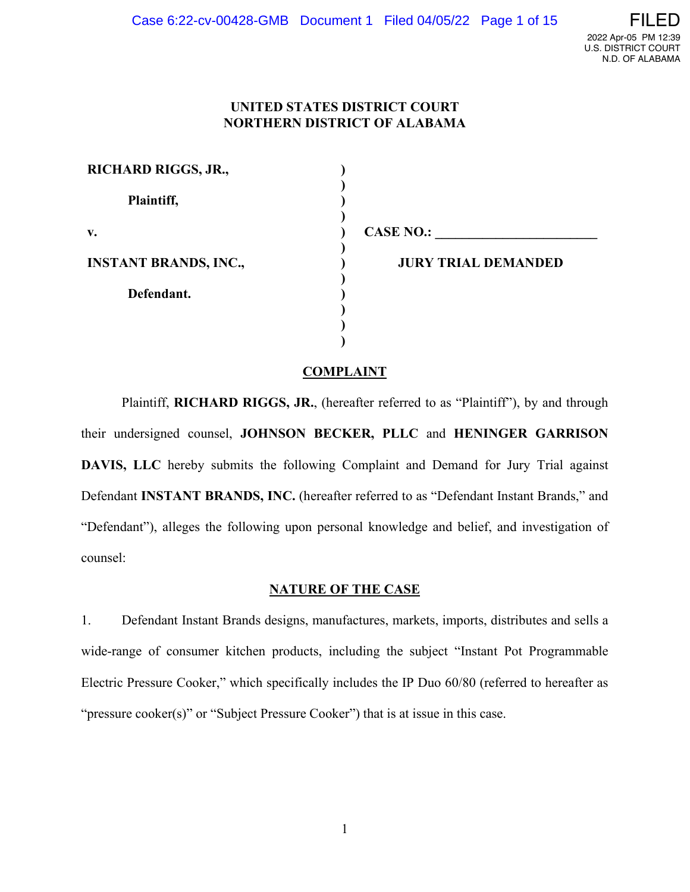# **UNITED STATES DISTRICT COURT NORTHERN DISTRICT OF ALABAMA**

| <b>RICHARD RIGGS, JR.,</b>   |                            |
|------------------------------|----------------------------|
| Plaintiff,                   |                            |
| v.                           | <b>CASE NO.:</b>           |
| <b>INSTANT BRANDS, INC.,</b> | <b>JURY TRIAL DEMANDED</b> |
| Defendant.                   |                            |
|                              |                            |
|                              |                            |

# **COMPLAINT**

Plaintiff, **RICHARD RIGGS, JR.**, (hereafter referred to as "Plaintiff"), by and through their undersigned counsel, **JOHNSON BECKER, PLLC** and **HENINGER GARRISON DAVIS, LLC** hereby submits the following Complaint and Demand for Jury Trial against Defendant **INSTANT BRANDS, INC.** (hereafter referred to as "Defendant Instant Brands," and "Defendant"), alleges the following upon personal knowledge and belief, and investigation of counsel:

# **NATURE OF THE CASE**

1. Defendant Instant Brands designs, manufactures, markets, imports, distributes and sells a wide-range of consumer kitchen products, including the subject "Instant Pot Programmable Electric Pressure Cooker," which specifically includes the IP Duo 60/80 (referred to hereafter as "pressure cooker(s)" or "Subject Pressure Cooker") that is at issue in this case.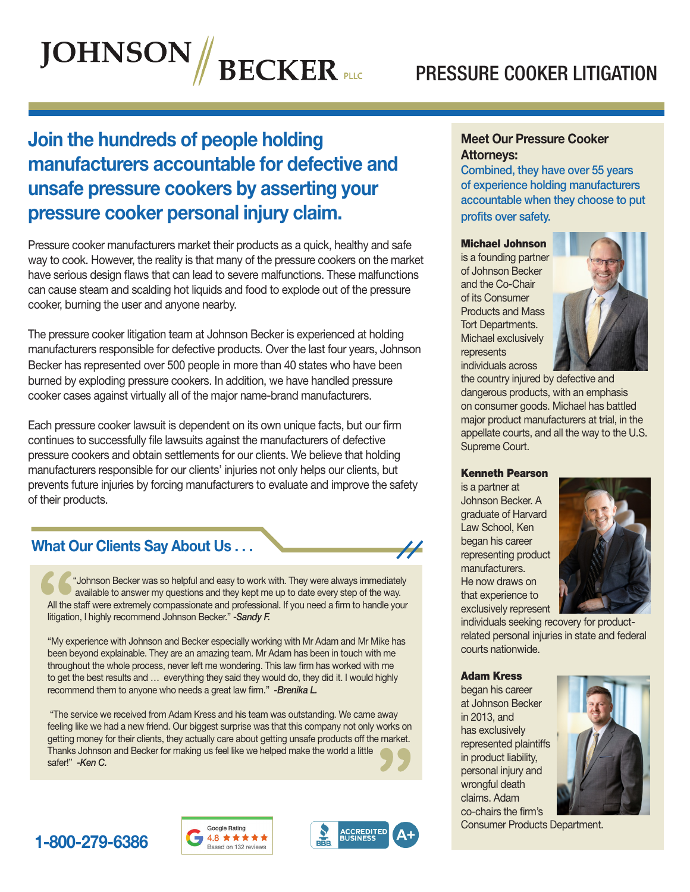# PRESSURE COOKER LITIGATION

Meet Our Pressure Cooker

Combined, they have over 55 years



# Join the hundreds of people holding manufacturers accountable for defective and unsafe pressure cookers by asserting your pressure cooker personal injury claim.

Pressure cooker manufacturers market their products as a quick, healthy and safe way to cook. However, the reality is that many of the pressure cookers on the market have serious design flaws that can lead to severe malfunctions. These malfunctions can cause steam and scalding hot liquids and food to explode out of the pressure cooker, burning the user and anyone nearby.

The pressure cooker litigation team at Johnson Becker is experienced at holding manufacturers responsible for defective products. Over the last four years, Johnson Becker has represented over 500 people in more than 40 states who have been burned by exploding pressure cookers. In addition, we have handled pressure cooker cases against virtually all of the major name-brand manufacturers.

Each pressure cooker lawsuit is dependent on its own unique facts, but our firm continues to successfully file lawsuits against the manufacturers of defective pressure cookers and obtain settlements for our clients. We believe that holding manufacturers responsible for our clients' injuries not only helps our clients, but prevents future injuries by forcing manufacturers to evaluate and improve the safety of their products.



 "Johnson Becker was so helpful and easy to work with. They were always immediately available to answer my questions and they kept me up to date every step of the way. All the staff were extremely compassionate and professional. If you need a firm to handle your litigation, I highly recommend Johnson Becker." -*Sandy F.* 

"My experience with Johnson and Becker especially working with Mr Adam and Mr Mike has been beyond explainable. They are an amazing team. Mr Adam has been in touch with me throughout the whole process, never left me wondering. This law firm has worked with me to get the best results and … everything they said they would do, they did it. I would highly recommend them to anyone who needs a great law firm." - Brenika L.

 "The service we received from Adam Kress and his team was outstanding. We came away feeling like we had a new friend. Our biggest surprise was that this company not only works on getting money for their clients, they actually care about getting unsafe products off the market. Thanks Johnson and Becker for making us feel like we helped make the world a little safer!" *-Ken C.*

# of experience holding manufacturers accountable when they choose to put profits over safety.

Attorneys:

#### Michael Johnson

is a founding partner of Johnson Becker and the Co-Chair of its Consumer Products and Mass Tort Departments. Michael exclusively represents individuals across



the country injured by defective and dangerous products, with an emphasis on consumer goods. Michael has battled major product manufacturers at trial, in the appellate courts, and all the way to the U.S. Supreme Court.

#### Kenneth Pearson

is a partner at Johnson Becker. A graduate of Harvard Law School, Ken began his career representing product manufacturers. He now draws on that experience to exclusively represent

 $\overline{\mu}$ 



individuals seeking recovery for productrelated personal injuries in state and federal courts nationwide.

#### Adam Kress

began his career at Johnson Becker in 2013, and has exclusively represented plaintiffs in product liability, personal injury and wrongful death claims. Adam co-chairs the firm's



Consumer Products Department.





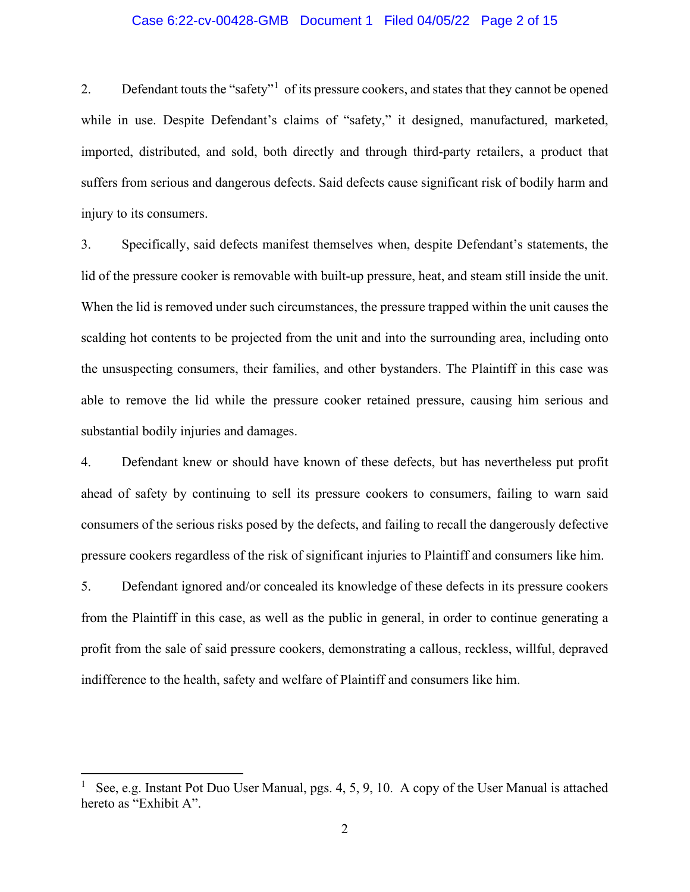#### Case 6:22-cv-00428-GMB Document 1 Filed 04/05/22 Page 2 of 15

2. Defendant touts the "safety"<sup>[1](#page-2-0)</sup> of its pressure cookers, and states that they cannot be opened while in use. Despite Defendant's claims of "safety," it designed, manufactured, marketed, imported, distributed, and sold, both directly and through third-party retailers, a product that suffers from serious and dangerous defects. Said defects cause significant risk of bodily harm and injury to its consumers.

3. Specifically, said defects manifest themselves when, despite Defendant's statements, the lid of the pressure cooker is removable with built-up pressure, heat, and steam still inside the unit. When the lid is removed under such circumstances, the pressure trapped within the unit causes the scalding hot contents to be projected from the unit and into the surrounding area, including onto the unsuspecting consumers, their families, and other bystanders. The Plaintiff in this case was able to remove the lid while the pressure cooker retained pressure, causing him serious and substantial bodily injuries and damages.

4. Defendant knew or should have known of these defects, but has nevertheless put profit ahead of safety by continuing to sell its pressure cookers to consumers, failing to warn said consumers of the serious risks posed by the defects, and failing to recall the dangerously defective pressure cookers regardless of the risk of significant injuries to Plaintiff and consumers like him.

5. Defendant ignored and/or concealed its knowledge of these defects in its pressure cookers from the Plaintiff in this case, as well as the public in general, in order to continue generating a profit from the sale of said pressure cookers, demonstrating a callous, reckless, willful, depraved indifference to the health, safety and welfare of Plaintiff and consumers like him.

<span id="page-2-0"></span><sup>1</sup> See, e.g. Instant Pot Duo User Manual, pgs. 4, 5, 9, 10. A copy of the User Manual is attached hereto as "Exhibit A".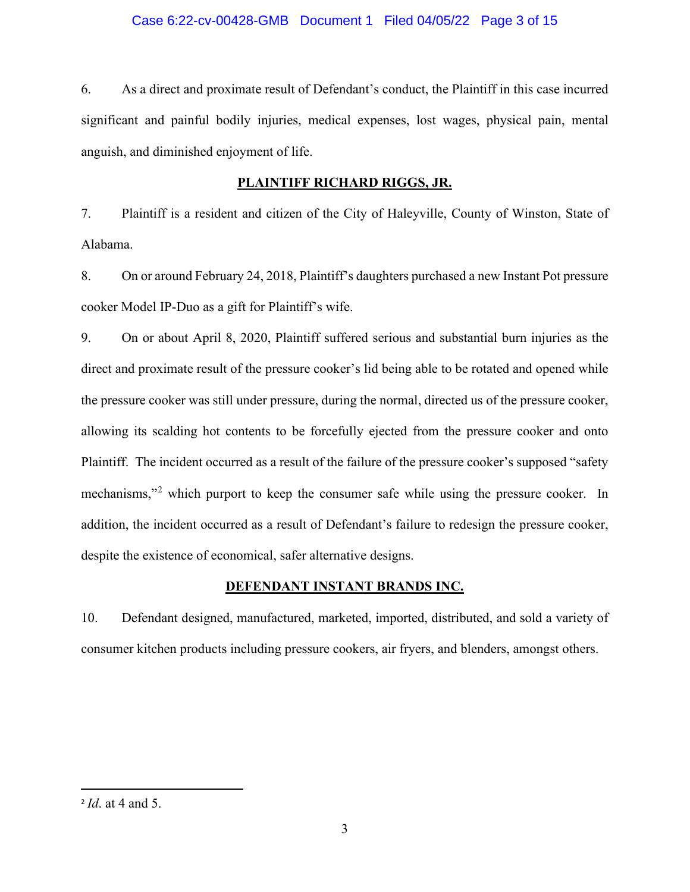# Case 6:22-cv-00428-GMB Document 1 Filed 04/05/22 Page 3 of 15

6. As a direct and proximate result of Defendant's conduct, the Plaintiff in this case incurred significant and painful bodily injuries, medical expenses, lost wages, physical pain, mental anguish, and diminished enjoyment of life.

# **PLAINTIFF RICHARD RIGGS, JR.**

7. Plaintiff is a resident and citizen of the City of Haleyville, County of Winston, State of Alabama.

8. On or around February 24, 2018, Plaintiff's daughters purchased a new Instant Pot pressure cooker Model IP-Duo as a gift for Plaintiff's wife.

9. On or about April 8, 2020, Plaintiff suffered serious and substantial burn injuries as the direct and proximate result of the pressure cooker's lid being able to be rotated and opened while the pressure cooker was still under pressure, during the normal, directed us of the pressure cooker, allowing its scalding hot contents to be forcefully ejected from the pressure cooker and onto Plaintiff. The incident occurred as a result of the failure of the pressure cooker's supposed "safety mechanisms,"<sup>[2](#page-3-0)</sup> which purport to keep the consumer safe while using the pressure cooker. In addition, the incident occurred as a result of Defendant's failure to redesign the pressure cooker, despite the existence of economical, safer alternative designs.

# **DEFENDANT INSTANT BRANDS INC.**

10. Defendant designed, manufactured, marketed, imported, distributed, and sold a variety of consumer kitchen products including pressure cookers, air fryers, and blenders, amongst others.

<span id="page-3-0"></span><sup>2</sup> *Id*. at 4 and 5.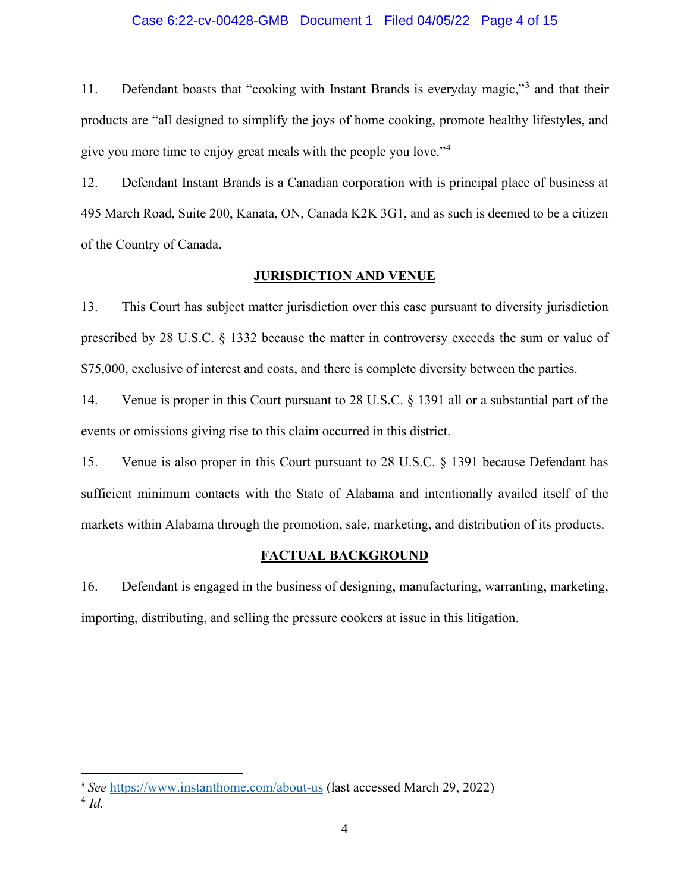#### Case 6:22-cv-00428-GMB Document 1 Filed 04/05/22 Page 4 of 15

11. Defendant boasts that "cooking with Instant Brands is everyday magic,"[3](#page-4-0) and that their products are "all designed to simplify the joys of home cooking, promote healthy lifestyles, and give you more time to enjoy great meals with the people you love."[4](#page-4-1)

12. Defendant Instant Brands is a Canadian corporation with is principal place of business at 495 March Road, Suite 200, Kanata, ON, Canada K2K 3G1, and as such is deemed to be a citizen of the Country of Canada.

### **JURISDICTION AND VENUE**

13. This Court has subject matter jurisdiction over this case pursuant to diversity jurisdiction prescribed by 28 U.S.C. § 1332 because the matter in controversy exceeds the sum or value of \$75,000, exclusive of interest and costs, and there is complete diversity between the parties.

14. Venue is proper in this Court pursuant to 28 U.S.C. § 1391 all or a substantial part of the events or omissions giving rise to this claim occurred in this district.

15. Venue is also proper in this Court pursuant to 28 U.S.C. § 1391 because Defendant has sufficient minimum contacts with the State of Alabama and intentionally availed itself of the markets within Alabama through the promotion, sale, marketing, and distribution of its products.

### **FACTUAL BACKGROUND**

16. Defendant is engaged in the business of designing, manufacturing, warranting, marketing, importing, distributing, and selling the pressure cookers at issue in this litigation.

<span id="page-4-0"></span><sup>3</sup> *See* <https://www.instanthome.com/about-us> (last accessed March 29, 2022)

<span id="page-4-1"></span><sup>4</sup> *Id.*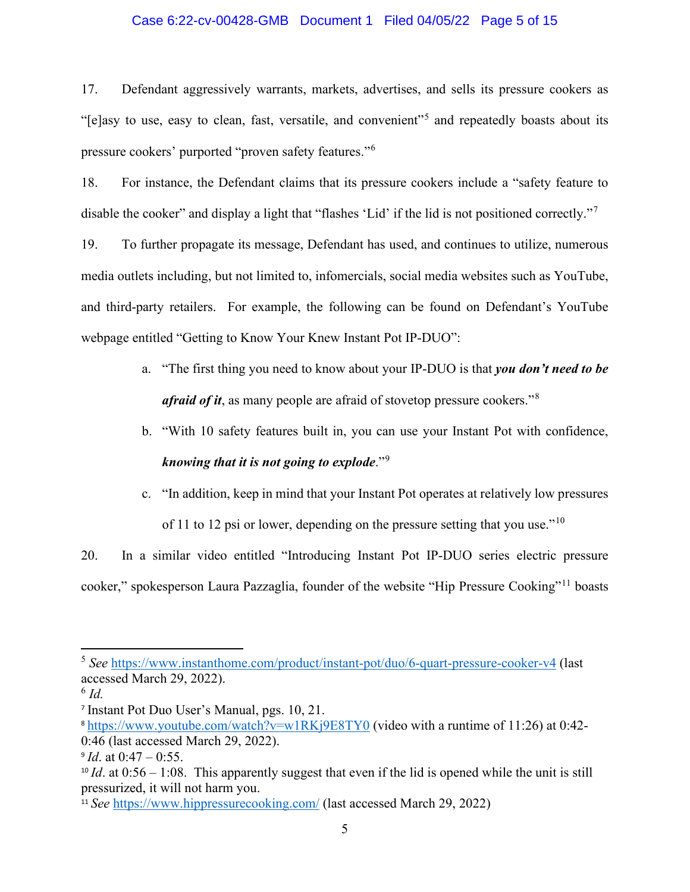### Case 6:22-cv-00428-GMB Document 1 Filed 04/05/22 Page 5 of 15

17. Defendant aggressively warrants, markets, advertises, and sells its pressure cookers as "[e]asy to use, easy to clean, fast, versatile, and convenient"[5](#page-5-0) and repeatedly boasts about its pressure cookers' purported "proven safety features."[6](#page-5-1)

18. For instance, the Defendant claims that its pressure cookers include a "safety feature to disable the cooker" and display a light that "flashes 'Lid' if the lid is not positioned correctly."<sup>[7](#page-5-2)</sup>

19. To further propagate its message, Defendant has used, and continues to utilize, numerous media outlets including, but not limited to, infomercials, social media websites such as YouTube, and third-party retailers. For example, the following can be found on Defendant's YouTube webpage entitled "Getting to Know Your Knew Instant Pot IP-DUO":

- a. "The first thing you need to know about your IP-DUO is that *you don't need to be afraid of it*, as many people are afraid of stovetop pressure cookers."[8](#page-5-3)
- b. "With 10 safety features built in, you can use your Instant Pot with confidence, *knowing that it is not going to explode*."[9](#page-5-4)
- c. "In addition, keep in mind that your Instant Pot operates at relatively low pressures

of 11 to 12 psi or lower, depending on the pressure setting that you use."<sup>[10](#page-5-5)</sup>

20. In a similar video entitled "Introducing Instant Pot IP-DUO series electric pressure cooker," spokesperson Laura Pazzaglia, founder of the website "Hip Pressure Cooking"[11](#page-5-6) boasts

<span id="page-5-0"></span><sup>5</sup> *See* <https://www.instanthome.com/product/instant-pot/duo/6-quart-pressure-cooker-v4> (last accessed March 29, 2022).

<span id="page-5-1"></span> $^6$  *Id.* 

<span id="page-5-2"></span><sup>7</sup> Instant Pot Duo User's Manual, pgs. 10, 21.

<span id="page-5-3"></span><sup>8</sup> <https://www.youtube.com/watch?v=w1RKj9E8TY0> (video with a runtime of 11:26) at 0:42- 0:46 (last accessed March 29, 2022).

<span id="page-5-4"></span> $9$  *Id.* at  $0:47 - 0:55$ .

<span id="page-5-5"></span><sup>&</sup>lt;sup>10</sup> *Id.* at 0:56 – 1:08. This apparently suggest that even if the lid is opened while the unit is still pressurized, it will not harm you.

<span id="page-5-6"></span><sup>&</sup>lt;sup>11</sup> *See* <https://www.hippressurecooking.com/> (last accessed March 29, 2022)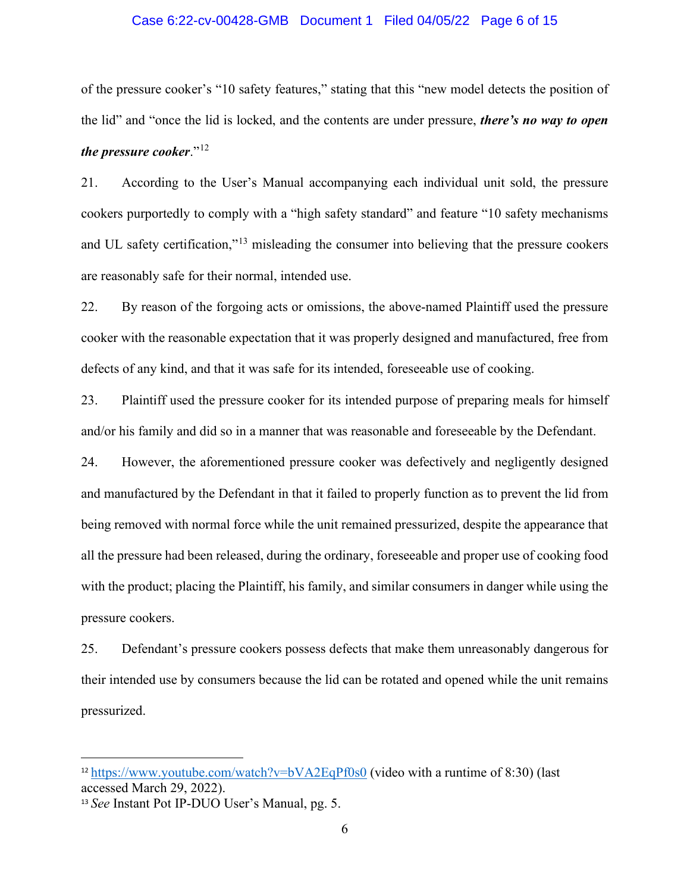#### Case 6:22-cv-00428-GMB Document 1 Filed 04/05/22 Page 6 of 15

of the pressure cooker's "10 safety features," stating that this "new model detects the position of the lid" and "once the lid is locked, and the contents are under pressure, *there's no way to open the pressure cooker*."[12](#page-6-0)

21. According to the User's Manual accompanying each individual unit sold, the pressure cookers purportedly to comply with a "high safety standard" and feature "10 safety mechanisms and UL safety certification,"<sup>[13](#page-6-1)</sup> misleading the consumer into believing that the pressure cookers are reasonably safe for their normal, intended use.

22. By reason of the forgoing acts or omissions, the above-named Plaintiff used the pressure cooker with the reasonable expectation that it was properly designed and manufactured, free from defects of any kind, and that it was safe for its intended, foreseeable use of cooking.

23. Plaintiff used the pressure cooker for its intended purpose of preparing meals for himself and/or his family and did so in a manner that was reasonable and foreseeable by the Defendant.

24. However, the aforementioned pressure cooker was defectively and negligently designed and manufactured by the Defendant in that it failed to properly function as to prevent the lid from being removed with normal force while the unit remained pressurized, despite the appearance that all the pressure had been released, during the ordinary, foreseeable and proper use of cooking food with the product; placing the Plaintiff, his family, and similar consumers in danger while using the pressure cookers.

25. Defendant's pressure cookers possess defects that make them unreasonably dangerous for their intended use by consumers because the lid can be rotated and opened while the unit remains pressurized.

<span id="page-6-0"></span> $12 \text{ https://www.youtube.com/watch?v=bVA2EqPf0s0}$  $12 \text{ https://www.youtube.com/watch?v=bVA2EqPf0s0}$  $12 \text{ https://www.youtube.com/watch?v=bVA2EqPf0s0}$  (video with a runtime of 8:30) (last accessed March 29, 2022).

<span id="page-6-1"></span><sup>13</sup> *See* Instant Pot IP-DUO User's Manual, pg. 5.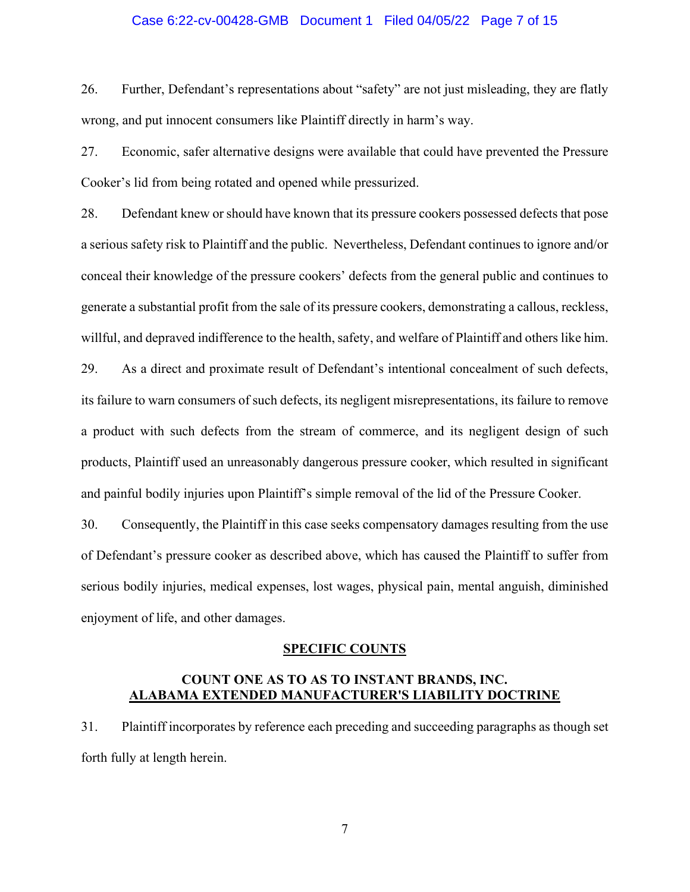#### Case 6:22-cv-00428-GMB Document 1 Filed 04/05/22 Page 7 of 15

26. Further, Defendant's representations about "safety" are not just misleading, they are flatly wrong, and put innocent consumers like Plaintiff directly in harm's way.

27. Economic, safer alternative designs were available that could have prevented the Pressure Cooker's lid from being rotated and opened while pressurized.

28. Defendant knew or should have known that its pressure cookers possessed defects that pose a serious safety risk to Plaintiff and the public. Nevertheless, Defendant continues to ignore and/or conceal their knowledge of the pressure cookers' defects from the general public and continues to generate a substantial profit from the sale of its pressure cookers, demonstrating a callous, reckless, willful, and depraved indifference to the health, safety, and welfare of Plaintiff and others like him.

29. As a direct and proximate result of Defendant's intentional concealment of such defects, its failure to warn consumers of such defects, its negligent misrepresentations, its failure to remove a product with such defects from the stream of commerce, and its negligent design of such products, Plaintiff used an unreasonably dangerous pressure cooker, which resulted in significant and painful bodily injuries upon Plaintiff's simple removal of the lid of the Pressure Cooker.

30. Consequently, the Plaintiff in this case seeks compensatory damages resulting from the use of Defendant's pressure cooker as described above, which has caused the Plaintiff to suffer from serious bodily injuries, medical expenses, lost wages, physical pain, mental anguish, diminished enjoyment of life, and other damages.

#### **SPECIFIC COUNTS**

# **COUNT ONE AS TO AS TO INSTANT BRANDS, INC. ALABAMA EXTENDED MANUFACTURER'S LIABILITY DOCTRINE**

31. Plaintiff incorporates by reference each preceding and succeeding paragraphs as though set forth fully at length herein.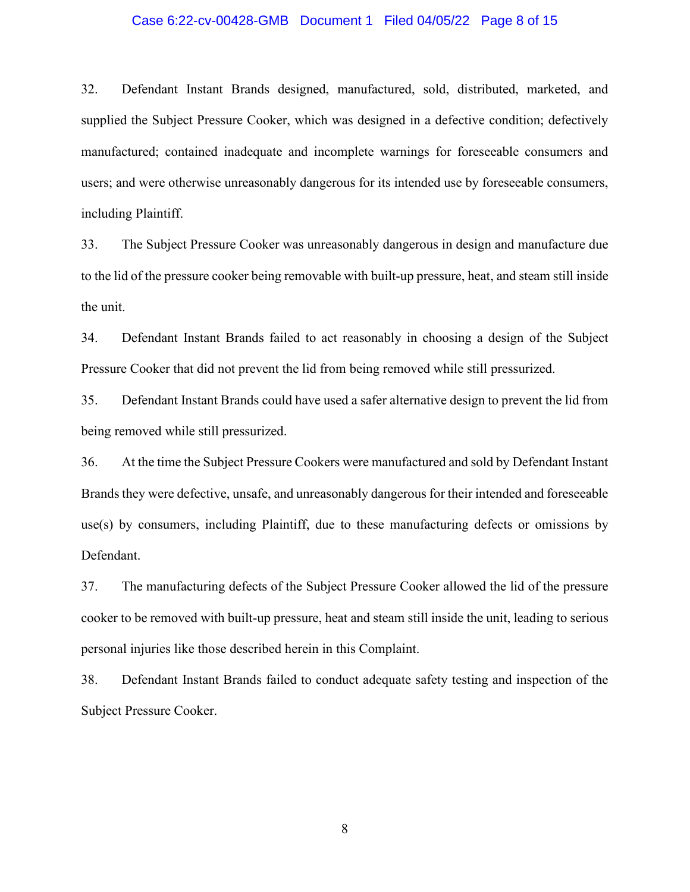#### Case 6:22-cv-00428-GMB Document 1 Filed 04/05/22 Page 8 of 15

32. Defendant Instant Brands designed, manufactured, sold, distributed, marketed, and supplied the Subject Pressure Cooker, which was designed in a defective condition; defectively manufactured; contained inadequate and incomplete warnings for foreseeable consumers and users; and were otherwise unreasonably dangerous for its intended use by foreseeable consumers, including Plaintiff.

33. The Subject Pressure Cooker was unreasonably dangerous in design and manufacture due to the lid of the pressure cooker being removable with built-up pressure, heat, and steam still inside the unit.

34. Defendant Instant Brands failed to act reasonably in choosing a design of the Subject Pressure Cooker that did not prevent the lid from being removed while still pressurized.

35. Defendant Instant Brands could have used a safer alternative design to prevent the lid from being removed while still pressurized.

36. At the time the Subject Pressure Cookers were manufactured and sold by Defendant Instant Brands they were defective, unsafe, and unreasonably dangerous for their intended and foreseeable use(s) by consumers, including Plaintiff, due to these manufacturing defects or omissions by Defendant.

37. The manufacturing defects of the Subject Pressure Cooker allowed the lid of the pressure cooker to be removed with built-up pressure, heat and steam still inside the unit, leading to serious personal injuries like those described herein in this Complaint.

38. Defendant Instant Brands failed to conduct adequate safety testing and inspection of the Subject Pressure Cooker.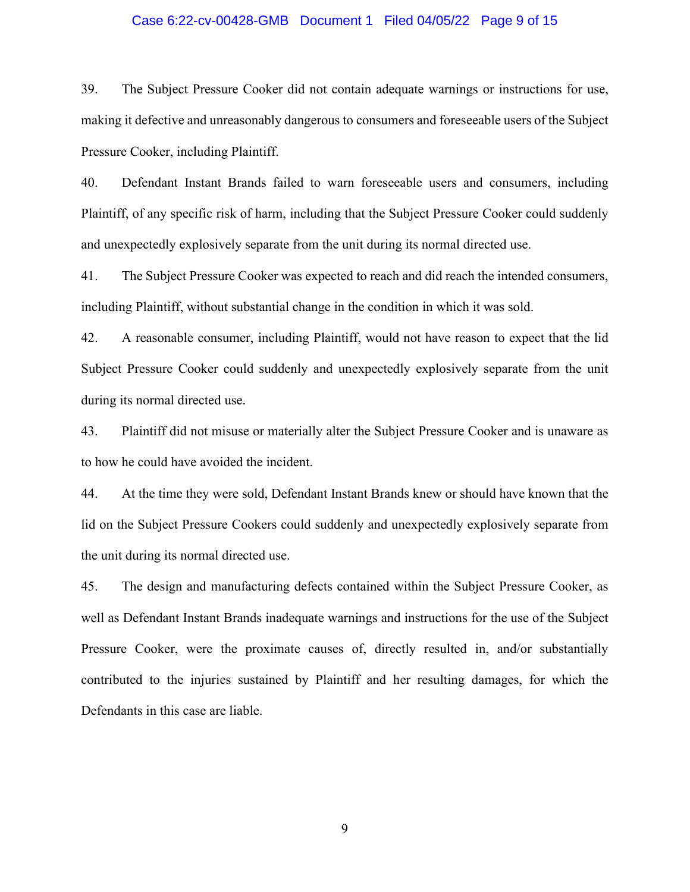#### Case 6:22-cv-00428-GMB Document 1 Filed 04/05/22 Page 9 of 15

39. The Subject Pressure Cooker did not contain adequate warnings or instructions for use, making it defective and unreasonably dangerous to consumers and foreseeable users of the Subject Pressure Cooker, including Plaintiff.

40. Defendant Instant Brands failed to warn foreseeable users and consumers, including Plaintiff, of any specific risk of harm, including that the Subject Pressure Cooker could suddenly and unexpectedly explosively separate from the unit during its normal directed use.

41. The Subject Pressure Cooker was expected to reach and did reach the intended consumers, including Plaintiff, without substantial change in the condition in which it was sold.

42. A reasonable consumer, including Plaintiff, would not have reason to expect that the lid Subject Pressure Cooker could suddenly and unexpectedly explosively separate from the unit during its normal directed use.

43. Plaintiff did not misuse or materially alter the Subject Pressure Cooker and is unaware as to how he could have avoided the incident.

44. At the time they were sold, Defendant Instant Brands knew or should have known that the lid on the Subject Pressure Cookers could suddenly and unexpectedly explosively separate from the unit during its normal directed use.

45. The design and manufacturing defects contained within the Subject Pressure Cooker, as well as Defendant Instant Brands inadequate warnings and instructions for the use of the Subject Pressure Cooker, were the proximate causes of, directly resulted in, and/or substantially contributed to the injuries sustained by Plaintiff and her resulting damages, for which the Defendants in this case are liable.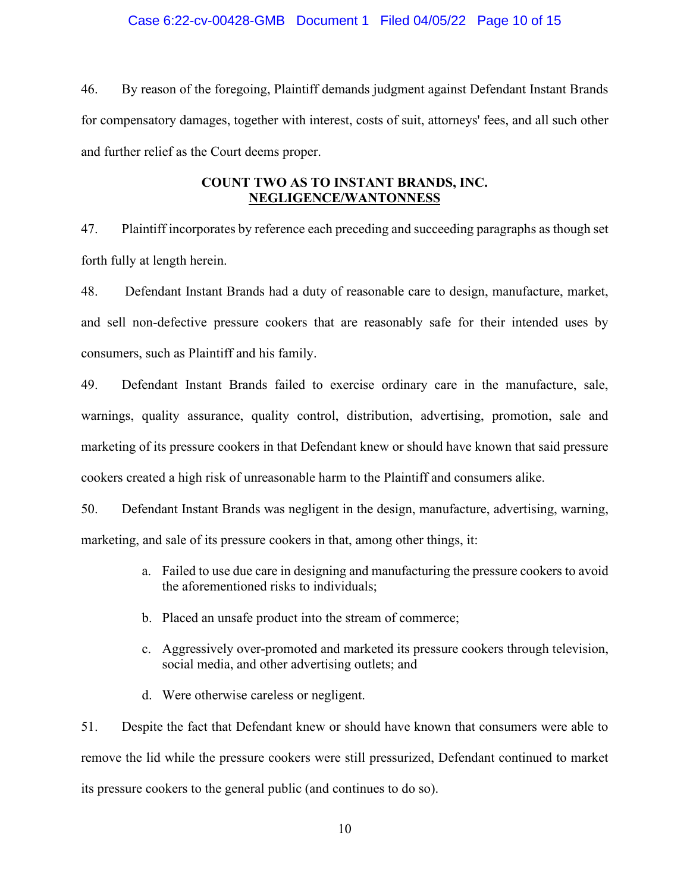#### Case 6:22-cv-00428-GMB Document 1 Filed 04/05/22 Page 10 of 15

46. By reason of the foregoing, Plaintiff demands judgment against Defendant Instant Brands for compensatory damages, together with interest, costs of suit, attorneys' fees, and all such other and further relief as the Court deems proper.

# **COUNT TWO AS TO INSTANT BRANDS, INC. NEGLIGENCE/WANTONNESS**

47. Plaintiff incorporates by reference each preceding and succeeding paragraphs as though set forth fully at length herein.

48. Defendant Instant Brands had a duty of reasonable care to design, manufacture, market, and sell non-defective pressure cookers that are reasonably safe for their intended uses by consumers, such as Plaintiff and his family.

49. Defendant Instant Brands failed to exercise ordinary care in the manufacture, sale, warnings, quality assurance, quality control, distribution, advertising, promotion, sale and marketing of its pressure cookers in that Defendant knew or should have known that said pressure cookers created a high risk of unreasonable harm to the Plaintiff and consumers alike.

50. Defendant Instant Brands was negligent in the design, manufacture, advertising, warning, marketing, and sale of its pressure cookers in that, among other things, it:

- a. Failed to use due care in designing and manufacturing the pressure cookers to avoid the aforementioned risks to individuals;
- b. Placed an unsafe product into the stream of commerce;
- c. Aggressively over-promoted and marketed its pressure cookers through television, social media, and other advertising outlets; and
- d. Were otherwise careless or negligent.

51. Despite the fact that Defendant knew or should have known that consumers were able to remove the lid while the pressure cookers were still pressurized, Defendant continued to market its pressure cookers to the general public (and continues to do so).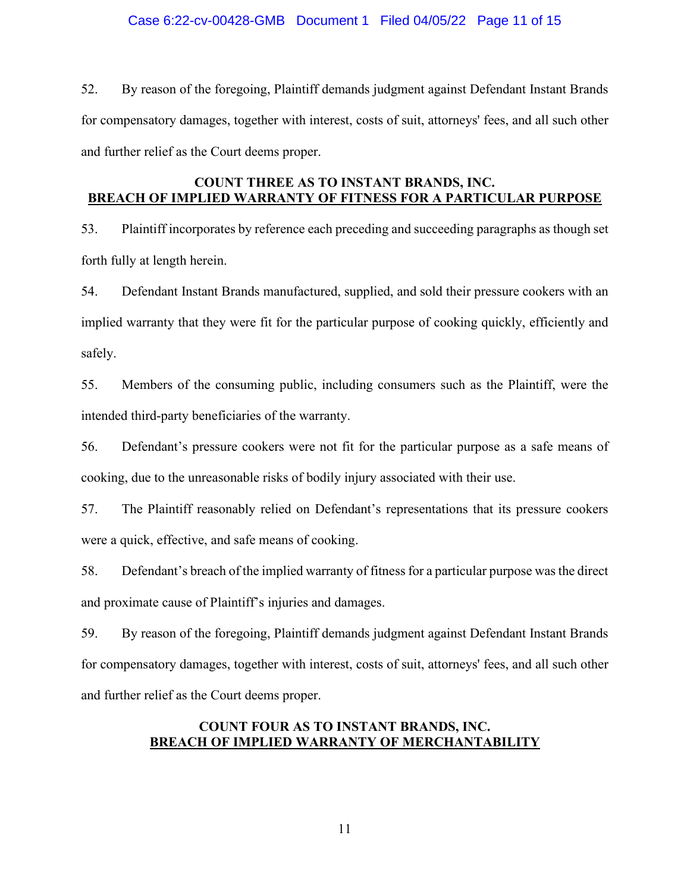# Case 6:22-cv-00428-GMB Document 1 Filed 04/05/22 Page 11 of 15

52. By reason of the foregoing, Plaintiff demands judgment against Defendant Instant Brands for compensatory damages, together with interest, costs of suit, attorneys' fees, and all such other and further relief as the Court deems proper.

# **COUNT THREE AS TO INSTANT BRANDS, INC. BREACH OF IMPLIED WARRANTY OF FITNESS FOR A PARTICULAR PURPOSE**

53. Plaintiff incorporates by reference each preceding and succeeding paragraphs as though set forth fully at length herein.

54. Defendant Instant Brands manufactured, supplied, and sold their pressure cookers with an implied warranty that they were fit for the particular purpose of cooking quickly, efficiently and safely.

55. Members of the consuming public, including consumers such as the Plaintiff, were the intended third-party beneficiaries of the warranty.

56. Defendant's pressure cookers were not fit for the particular purpose as a safe means of cooking, due to the unreasonable risks of bodily injury associated with their use.

57. The Plaintiff reasonably relied on Defendant's representations that its pressure cookers were a quick, effective, and safe means of cooking.

58. Defendant's breach of the implied warranty of fitness for a particular purpose wasthe direct and proximate cause of Plaintiff's injuries and damages.

59. By reason of the foregoing, Plaintiff demands judgment against Defendant Instant Brands for compensatory damages, together with interest, costs of suit, attorneys' fees, and all such other and further relief as the Court deems proper.

# **COUNT FOUR AS TO INSTANT BRANDS, INC. BREACH OF IMPLIED WARRANTY OF MERCHANTABILITY**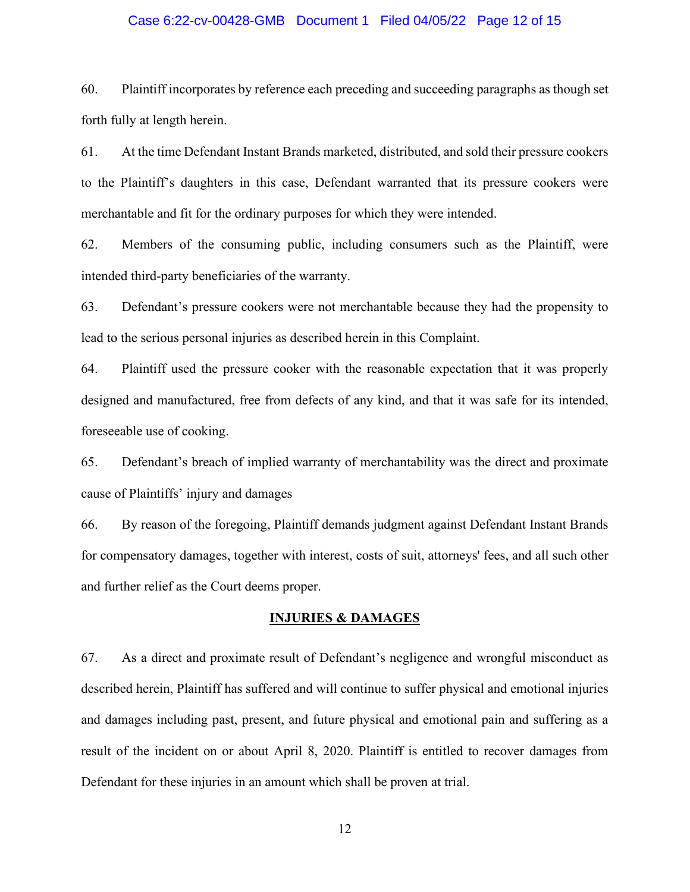#### Case 6:22-cv-00428-GMB Document 1 Filed 04/05/22 Page 12 of 15

60. Plaintiff incorporates by reference each preceding and succeeding paragraphs as though set forth fully at length herein.

61. At the time Defendant Instant Brands marketed, distributed, and sold their pressure cookers to the Plaintiff's daughters in this case, Defendant warranted that its pressure cookers were merchantable and fit for the ordinary purposes for which they were intended.

62. Members of the consuming public, including consumers such as the Plaintiff, were intended third-party beneficiaries of the warranty.

63. Defendant's pressure cookers were not merchantable because they had the propensity to lead to the serious personal injuries as described herein in this Complaint.

64. Plaintiff used the pressure cooker with the reasonable expectation that it was properly designed and manufactured, free from defects of any kind, and that it was safe for its intended, foreseeable use of cooking.

65. Defendant's breach of implied warranty of merchantability was the direct and proximate cause of Plaintiffs' injury and damages

66. By reason of the foregoing, Plaintiff demands judgment against Defendant Instant Brands for compensatory damages, together with interest, costs of suit, attorneys' fees, and all such other and further relief as the Court deems proper.

#### **INJURIES & DAMAGES**

67. As a direct and proximate result of Defendant's negligence and wrongful misconduct as described herein, Plaintiff has suffered and will continue to suffer physical and emotional injuries and damages including past, present, and future physical and emotional pain and suffering as a result of the incident on or about April 8, 2020. Plaintiff is entitled to recover damages from Defendant for these injuries in an amount which shall be proven at trial.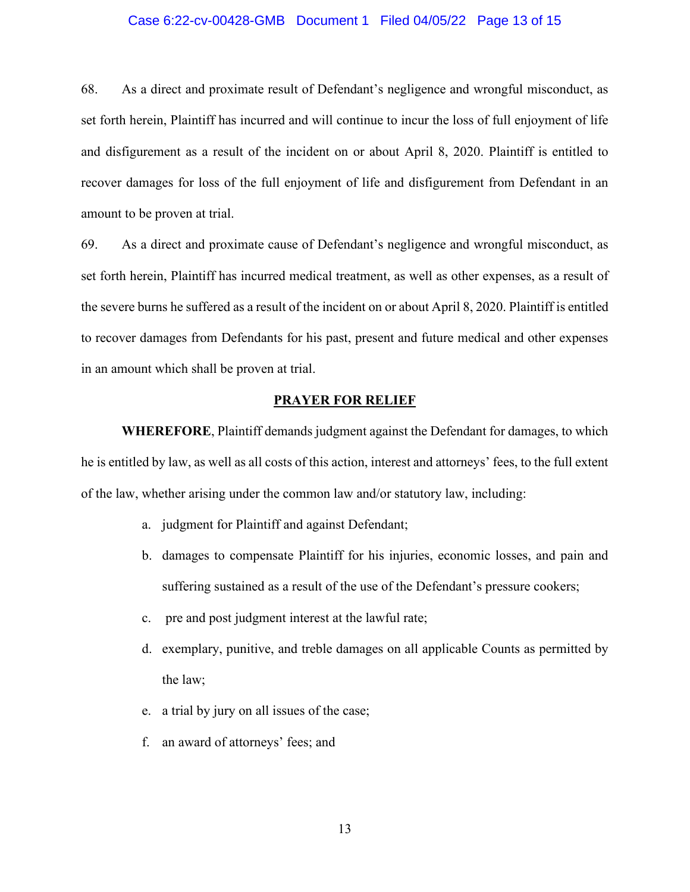#### Case 6:22-cv-00428-GMB Document 1 Filed 04/05/22 Page 13 of 15

68. As a direct and proximate result of Defendant's negligence and wrongful misconduct, as set forth herein, Plaintiff has incurred and will continue to incur the loss of full enjoyment of life and disfigurement as a result of the incident on or about April 8, 2020. Plaintiff is entitled to recover damages for loss of the full enjoyment of life and disfigurement from Defendant in an amount to be proven at trial.

69. As a direct and proximate cause of Defendant's negligence and wrongful misconduct, as set forth herein, Plaintiff has incurred medical treatment, as well as other expenses, as a result of the severe burns he suffered as a result of the incident on or about April 8, 2020. Plaintiff is entitled to recover damages from Defendants for his past, present and future medical and other expenses in an amount which shall be proven at trial.

#### **PRAYER FOR RELIEF**

**WHEREFORE**, Plaintiff demands judgment against the Defendant for damages, to which he is entitled by law, as well as all costs of this action, interest and attorneys' fees, to the full extent of the law, whether arising under the common law and/or statutory law, including:

- a. judgment for Plaintiff and against Defendant;
- b. damages to compensate Plaintiff for his injuries, economic losses, and pain and suffering sustained as a result of the use of the Defendant's pressure cookers;
- c. pre and post judgment interest at the lawful rate;
- d. exemplary, punitive, and treble damages on all applicable Counts as permitted by the law;
- e. a trial by jury on all issues of the case;
- f. an award of attorneys' fees; and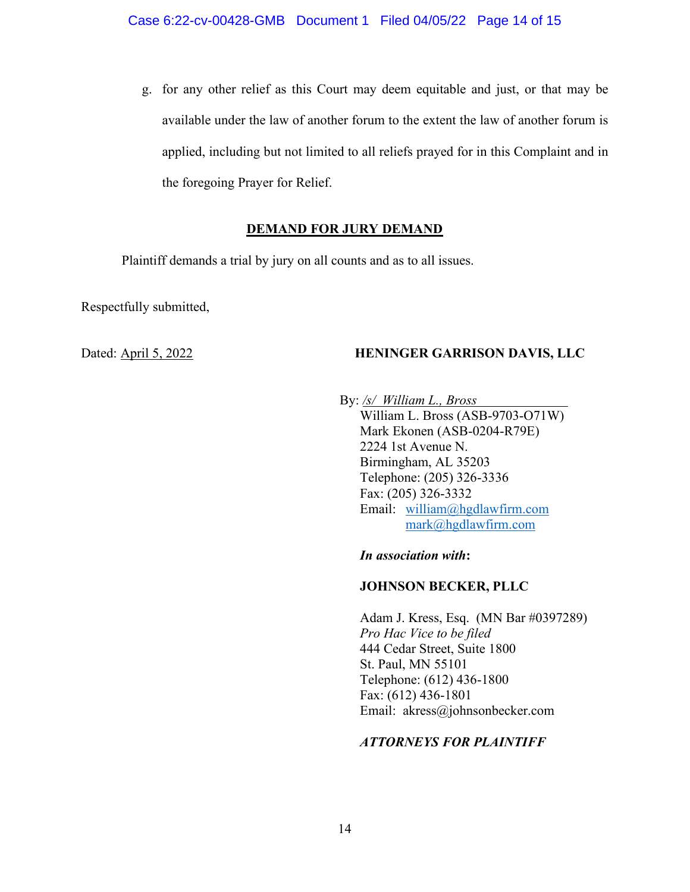g. for any other relief as this Court may deem equitable and just, or that may be available under the law of another forum to the extent the law of another forum is applied, including but not limited to all reliefs prayed for in this Complaint and in the foregoing Prayer for Relief.

# **DEMAND FOR JURY DEMAND**

Plaintiff demands a trial by jury on all counts and as to all issues.

Respectfully submitted,

# Dated: <u>April 5, 2022</u> **HENINGER GARRISON DAVIS, LLC**

By: */s/ William L., Bross* William L. Bross (ASB-9703-O71W) Mark Ekonen (ASB-0204-R79E) 2224 1st Avenue N. Birmingham, AL 35203 Telephone: (205) 326-3336 Fax: (205) 326-3332 Email: [william@hgdlawfirm.com](mailto:william@hgdlawfirm.com) [mark@hgdlawfirm.com](mailto:mark@hgdlawfirm.com)

*In association with***:**

# **JOHNSON BECKER, PLLC**

Adam J. Kress, Esq. (MN Bar #0397289) *Pro Hac Vice to be filed* 444 Cedar Street, Suite 1800 St. Paul, MN 55101 Telephone: (612) 436-1800 Fax: (612) 436-1801 Email: akress@johnsonbecker.com

# *ATTORNEYS FOR PLAINTIFF*